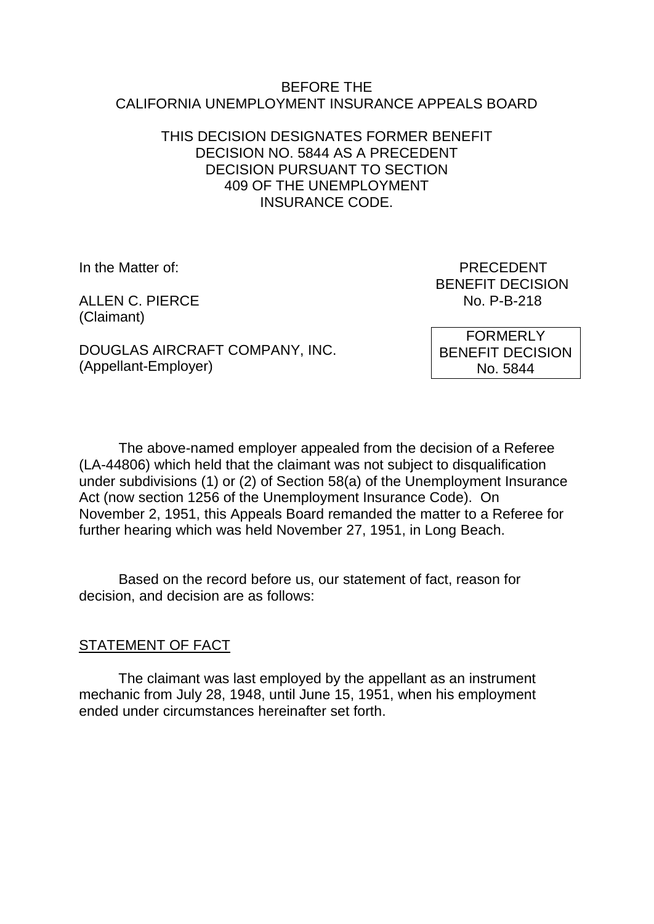#### BEFORE THE CALIFORNIA UNEMPLOYMENT INSURANCE APPEALS BOARD

### THIS DECISION DESIGNATES FORMER BENEFIT DECISION NO. 5844 AS A PRECEDENT DECISION PURSUANT TO SECTION 409 OF THE UNEMPLOYMENT INSURANCE CODE.

ALLEN C. PIERCE No. P-B-218 (Claimant)

In the Matter of: PRECEDENT BENEFIT DECISION

DOUGLAS AIRCRAFT COMPANY, INC. (Appellant-Employer)

FORMERLY BENEFIT DECISION No. 5844

The above-named employer appealed from the decision of a Referee (LA-44806) which held that the claimant was not subject to disqualification under subdivisions (1) or (2) of Section 58(a) of the Unemployment Insurance Act (now section 1256 of the Unemployment Insurance Code). On November 2, 1951, this Appeals Board remanded the matter to a Referee for further hearing which was held November 27, 1951, in Long Beach.

Based on the record before us, our statement of fact, reason for decision, and decision are as follows:

## STATEMENT OF FACT

The claimant was last employed by the appellant as an instrument mechanic from July 28, 1948, until June 15, 1951, when his employment ended under circumstances hereinafter set forth.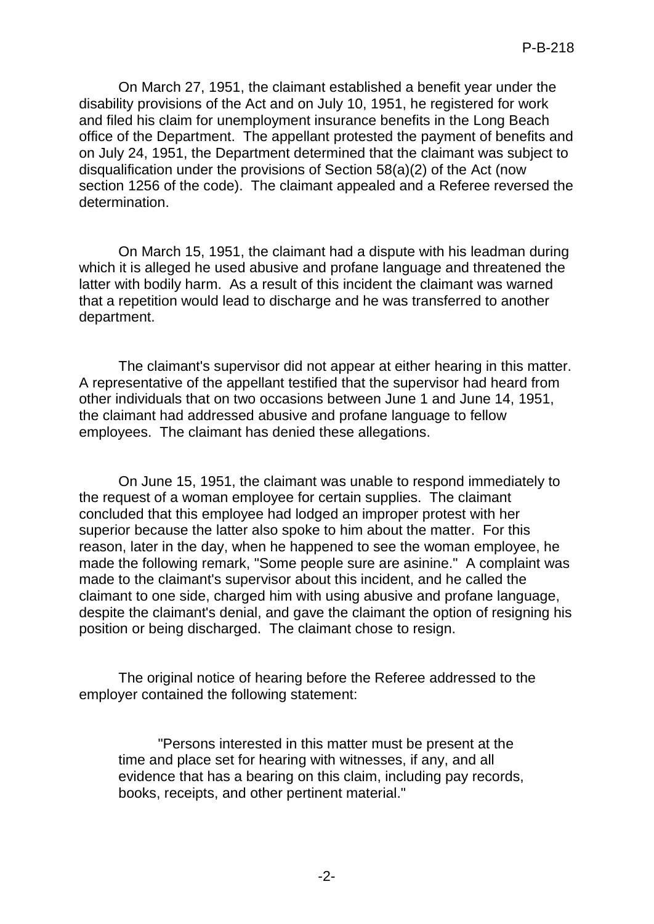On March 27, 1951, the claimant established a benefit year under the disability provisions of the Act and on July 10, 1951, he registered for work and filed his claim for unemployment insurance benefits in the Long Beach office of the Department. The appellant protested the payment of benefits and on July 24, 1951, the Department determined that the claimant was subject to disqualification under the provisions of Section 58(a)(2) of the Act (now section 1256 of the code). The claimant appealed and a Referee reversed the determination.

On March 15, 1951, the claimant had a dispute with his leadman during which it is alleged he used abusive and profane language and threatened the latter with bodily harm. As a result of this incident the claimant was warned that a repetition would lead to discharge and he was transferred to another department.

The claimant's supervisor did not appear at either hearing in this matter. A representative of the appellant testified that the supervisor had heard from other individuals that on two occasions between June 1 and June 14, 1951, the claimant had addressed abusive and profane language to fellow employees. The claimant has denied these allegations.

On June 15, 1951, the claimant was unable to respond immediately to the request of a woman employee for certain supplies. The claimant concluded that this employee had lodged an improper protest with her superior because the latter also spoke to him about the matter. For this reason, later in the day, when he happened to see the woman employee, he made the following remark, "Some people sure are asinine." A complaint was made to the claimant's supervisor about this incident, and he called the claimant to one side, charged him with using abusive and profane language, despite the claimant's denial, and gave the claimant the option of resigning his position or being discharged. The claimant chose to resign.

The original notice of hearing before the Referee addressed to the employer contained the following statement:

"Persons interested in this matter must be present at the time and place set for hearing with witnesses, if any, and all evidence that has a bearing on this claim, including pay records, books, receipts, and other pertinent material."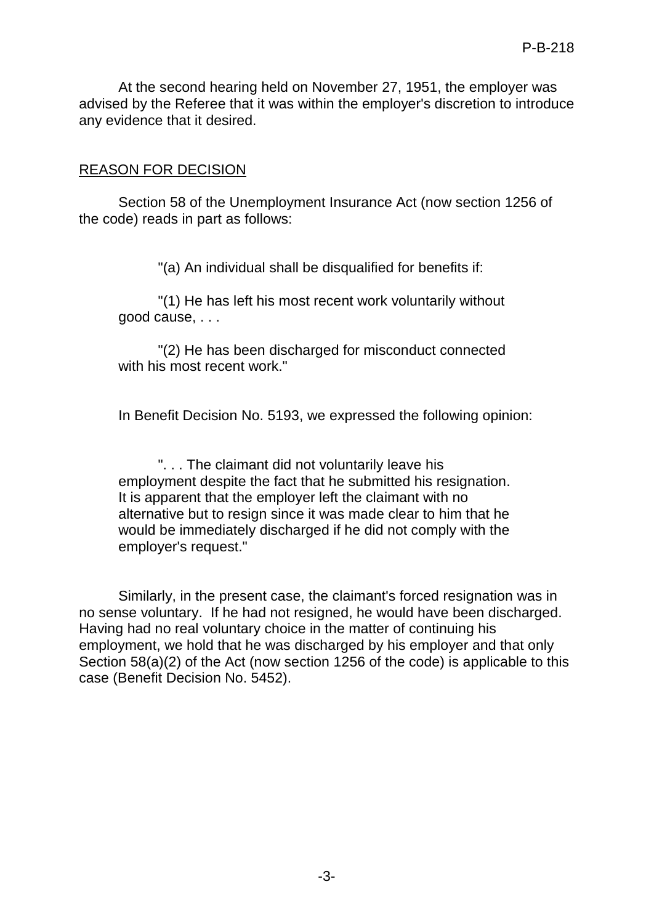At the second hearing held on November 27, 1951, the employer was advised by the Referee that it was within the employer's discretion to introduce any evidence that it desired.

### REASON FOR DECISION

Section 58 of the Unemployment Insurance Act (now section 1256 of the code) reads in part as follows:

"(a) An individual shall be disqualified for benefits if:

"(1) He has left his most recent work voluntarily without good cause, . . .

"(2) He has been discharged for misconduct connected with his most recent work."

In Benefit Decision No. 5193, we expressed the following opinion:

". . . The claimant did not voluntarily leave his employment despite the fact that he submitted his resignation. It is apparent that the employer left the claimant with no alternative but to resign since it was made clear to him that he would be immediately discharged if he did not comply with the employer's request."

Similarly, in the present case, the claimant's forced resignation was in no sense voluntary. If he had not resigned, he would have been discharged. Having had no real voluntary choice in the matter of continuing his employment, we hold that he was discharged by his employer and that only Section 58(a)(2) of the Act (now section 1256 of the code) is applicable to this case (Benefit Decision No. 5452).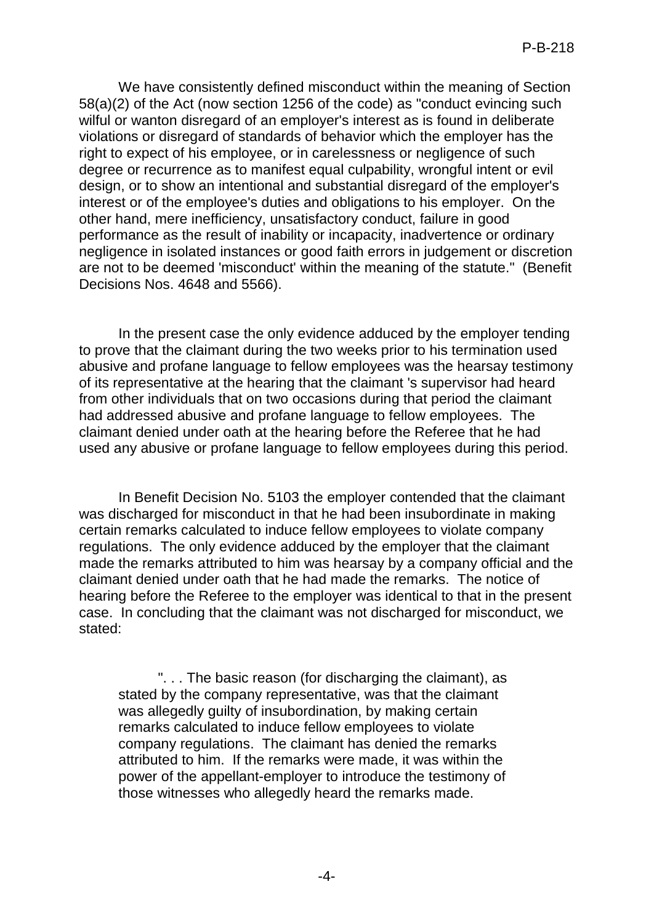We have consistently defined misconduct within the meaning of Section 58(a)(2) of the Act (now section 1256 of the code) as "conduct evincing such wilful or wanton disregard of an employer's interest as is found in deliberate violations or disregard of standards of behavior which the employer has the right to expect of his employee, or in carelessness or negligence of such degree or recurrence as to manifest equal culpability, wrongful intent or evil design, or to show an intentional and substantial disregard of the employer's interest or of the employee's duties and obligations to his employer. On the other hand, mere inefficiency, unsatisfactory conduct, failure in good performance as the result of inability or incapacity, inadvertence or ordinary negligence in isolated instances or good faith errors in judgement or discretion are not to be deemed 'misconduct' within the meaning of the statute." (Benefit Decisions Nos. 4648 and 5566).

In the present case the only evidence adduced by the employer tending to prove that the claimant during the two weeks prior to his termination used abusive and profane language to fellow employees was the hearsay testimony of its representative at the hearing that the claimant 's supervisor had heard from other individuals that on two occasions during that period the claimant had addressed abusive and profane language to fellow employees. The claimant denied under oath at the hearing before the Referee that he had used any abusive or profane language to fellow employees during this period.

In Benefit Decision No. 5103 the employer contended that the claimant was discharged for misconduct in that he had been insubordinate in making certain remarks calculated to induce fellow employees to violate company regulations. The only evidence adduced by the employer that the claimant made the remarks attributed to him was hearsay by a company official and the claimant denied under oath that he had made the remarks. The notice of hearing before the Referee to the employer was identical to that in the present case. In concluding that the claimant was not discharged for misconduct, we stated:

". . . The basic reason (for discharging the claimant), as stated by the company representative, was that the claimant was allegedly guilty of insubordination, by making certain remarks calculated to induce fellow employees to violate company regulations. The claimant has denied the remarks attributed to him. If the remarks were made, it was within the power of the appellant-employer to introduce the testimony of those witnesses who allegedly heard the remarks made.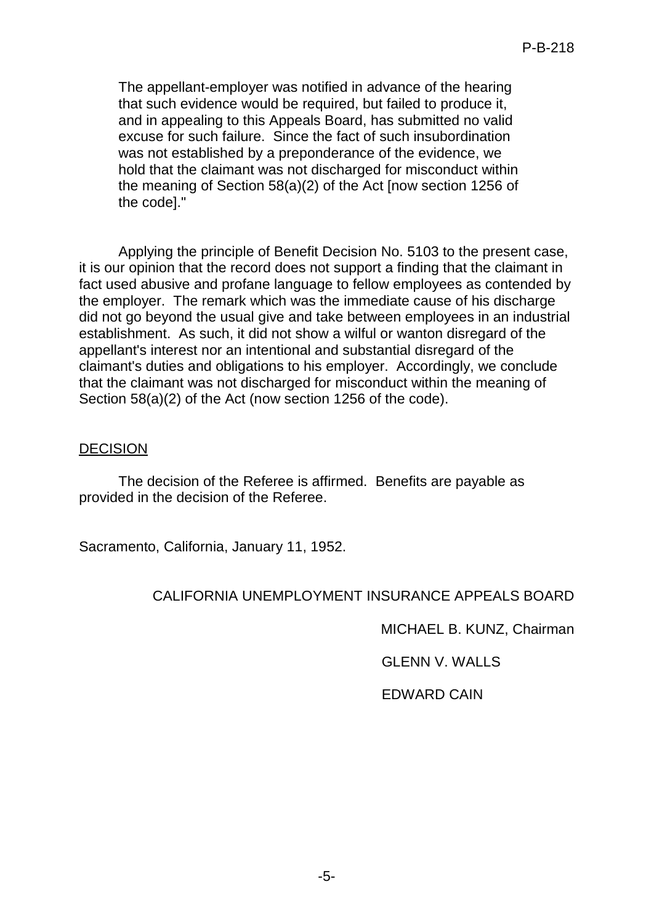The appellant-employer was notified in advance of the hearing that such evidence would be required, but failed to produce it, and in appealing to this Appeals Board, has submitted no valid excuse for such failure. Since the fact of such insubordination was not established by a preponderance of the evidence, we hold that the claimant was not discharged for misconduct within the meaning of Section 58(a)(2) of the Act [now section 1256 of the code]."

Applying the principle of Benefit Decision No. 5103 to the present case, it is our opinion that the record does not support a finding that the claimant in fact used abusive and profane language to fellow employees as contended by the employer. The remark which was the immediate cause of his discharge did not go beyond the usual give and take between employees in an industrial establishment. As such, it did not show a wilful or wanton disregard of the appellant's interest nor an intentional and substantial disregard of the claimant's duties and obligations to his employer. Accordingly, we conclude that the claimant was not discharged for misconduct within the meaning of Section 58(a)(2) of the Act (now section 1256 of the code).

### DECISION

The decision of the Referee is affirmed. Benefits are payable as provided in the decision of the Referee.

Sacramento, California, January 11, 1952.

### CALIFORNIA UNEMPLOYMENT INSURANCE APPEALS BOARD

MICHAEL B. KUNZ, Chairman

GLENN V. WALLS

EDWARD CAIN